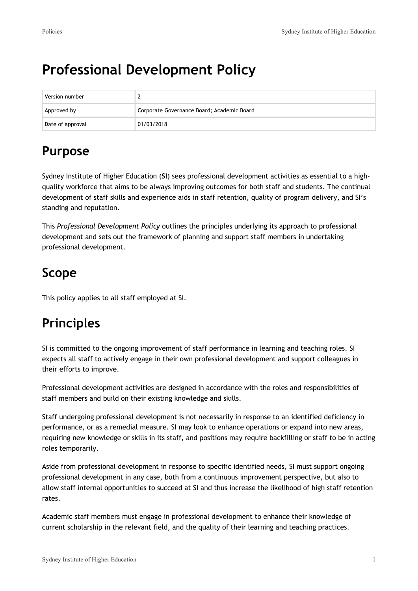# **Professional Development Policy**

| Version number   |                                            |
|------------------|--------------------------------------------|
| Approved by      | Corporate Governance Board; Academic Board |
| Date of approval | 01/03/2018                                 |

### **Purpose**

Sydney Institute of Higher Education (**SI**) sees professional development activities as essential to a highquality workforce that aims to be always improving outcomes for both staff and students. The continual development of staff skills and experience aids in staff retention, quality of program delivery, and SI's standing and reputation.

This *Professional Development Policy* outlines the principles underlying its approach to professional development and sets out the framework of planning and support staff members in undertaking professional development.

## **Scope**

This policy applies to all staff employed at SI.

# **Principles**

SI is committed to the ongoing improvement of staff performance in learning and teaching roles. SI expects all staff to actively engage in their own professional development and support colleagues in their efforts to improve.

Professional development activities are designed in accordance with the roles and responsibilities of staff members and build on their existing knowledge and skills.

Staff undergoing professional development is not necessarily in response to an identified deficiency in performance, or as a remedial measure. SI may look to enhance operations or expand into new areas, requiring new knowledge or skills in its staff, and positions may require backfilling or staff to be in acting roles temporarily.

Aside from professional development in response to specific identified needs, SI must support ongoing professional development in any case, both from a continuous improvement perspective, but also to allow staff internal opportunities to succeed at SI and thus increase the likelihood of high staff retention rates.

Academic staff members must engage in professional development to enhance their knowledge of current scholarship in the relevant field, and the quality of their learning and teaching practices.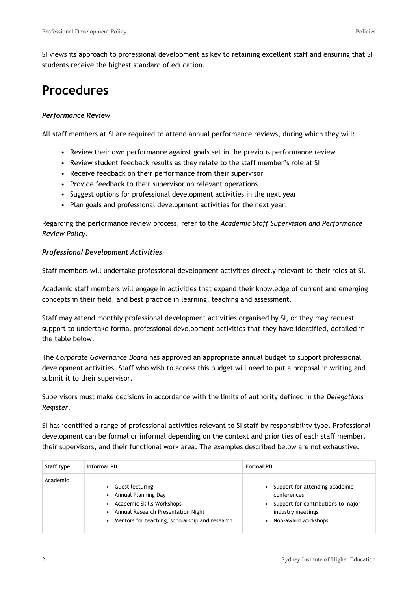SI views its approach to professional development as key to retaining excellent staff and ensuring that SI students receive the highest standard of education.

### **Procedures**

#### *Performance Review*

All staff members at SI are required to attend annual performance reviews, during which they will:

- Review their own performance against goals set in the previous performance review
- Review student feedback results as they relate to the staff member's role at SI
- Receive feedback on their performance from their supervisor
- Provide feedback to their supervisor on relevant operations
- Suggest options for professional development activities in the next year
- Plan goals and professional development activities for the next year.

Regarding the performance review process, refer to the *Academic Staff Supervision and Performance Review Policy.*

#### *Professional Development Activities*

Staff members will undertake professional development activities directly relevant to their roles at SI.

Academic staff members will engage in activities that expand their knowledge of current and emerging concepts in their field, and best practice in learning, teaching and assessment.

Staff may attend monthly professional development activities organised by SI, or they may request support to undertake formal professional development activities that they have identified, detailed in the table below.

The *Corporate Governance Board* has approved an appropriate annual budget to support professional development activities. Staff who wish to access this budget will need to put a proposal in writing and submit it to their supervisor.

Supervisors must make decisions in accordance with the limits of authority defined in the *Delegations Register.*

SI has identified a range of professional activities relevant to SI staff by responsibility type. Professional development can be formal or informal depending on the context and priorities of each staff member, their supervisors, and their functional work area. The examples described below are not exhaustive.

| Staff type | Informal PD                                                                                                                                                       | <b>Formal PD</b>                                                                                                                |  |  |
|------------|-------------------------------------------------------------------------------------------------------------------------------------------------------------------|---------------------------------------------------------------------------------------------------------------------------------|--|--|
| Academic   | Guest lecturing<br>• Annual Planning Day<br>• Academic Skills Workshops<br>• Annual Research Presentation Night<br>Mentors for teaching, scholarship and research | Support for attending academic<br>conferences<br>Support for contributions to major<br>industry meetings<br>Non-award workshops |  |  |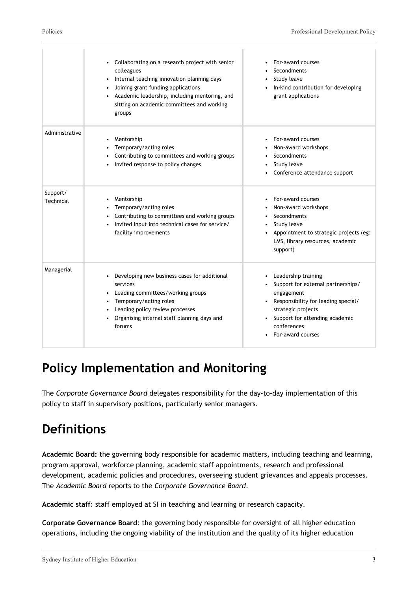|                       | Collaborating on a research project with senior<br>colleagues<br>Internal teaching innovation planning days<br>٠<br>Joining grant funding applications<br>Academic leadership, including mentoring, and<br>sitting on academic committees and working<br>groups | For-award courses<br>Secondments<br>Study leave<br>٠<br>In-kind contribution for developing<br>$\bullet$<br>grant applications                                                                                  |
|-----------------------|-----------------------------------------------------------------------------------------------------------------------------------------------------------------------------------------------------------------------------------------------------------------|-----------------------------------------------------------------------------------------------------------------------------------------------------------------------------------------------------------------|
| Administrative        | Mentorship<br>٠<br>Temporary/acting roles<br>Contributing to committees and working groups<br>Invited response to policy changes                                                                                                                                | For-award courses<br>Non-award workshops<br>Secondments<br>Study leave<br>Conference attendance support                                                                                                         |
| Support/<br>Technical | Mentorship<br>Temporary/acting roles<br>Contributing to committees and working groups<br>Invited input into technical cases for service/<br>facility improvements                                                                                               | For-award courses<br>Non-award workshops<br>Secondments<br>Study leave<br>Appointment to strategic projects (eg:<br>LMS, library resources, academic<br>support)                                                |
| Managerial            | Developing new business cases for additional<br>services<br>Leading committees/working groups<br>Temporary/acting roles<br>Leading policy review processes<br>Organising internal staff planning days and<br>forums                                             | Leadership training<br>Support for external partnerships/<br>engagement<br>Responsibility for leading special/<br>٠<br>strategic projects<br>Support for attending academic<br>conferences<br>For-award courses |

## **Policy Implementation and Monitoring**

The *Corporate Governance Board* delegates responsibility for the day-to-day implementation of this policy to staff in supervisory positions, particularly senior managers.

# **Definitions**

**Academic Board:** the governing body responsible for academic matters, including teaching and learning, program approval, workforce planning, academic staff appointments, research and professional development, academic policies and procedures, overseeing student grievances and appeals processes. The *Academic Board* reports to the *Corporate Governance Board*.

**Academic staff**: staff employed at SI in teaching and learning or research capacity.

**Corporate Governance Board**: the governing body responsible for oversight of all higher education operations, including the ongoing viability of the institution and the quality of its higher education